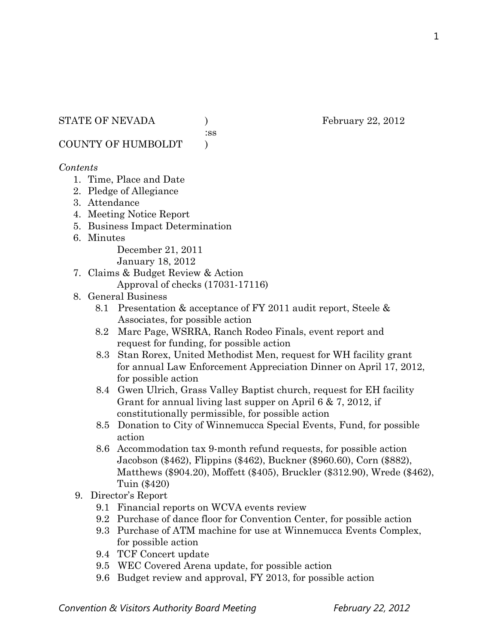:ss

COUNTY OF HUMBOLDT )

### *Contents*

- 1. Time, Place and Date
- 2. Pledge of Allegiance
- 3. Attendance
- 4. Meeting Notice Report
- 5. Business Impact Determination
- 6. Minutes

December 21, 2011

January 18, 2012

- 7. Claims & Budget Review & Action
	- Approval of checks (17031-17116)
- 8. General Business
	- 8.1 Presentation & acceptance of FY 2011 audit report, Steele & Associates, for possible action
	- 8.2 Marc Page, WSRRA, Ranch Rodeo Finals, event report and request for funding, for possible action
	- 8.3 Stan Rorex, United Methodist Men, request for WH facility grant for annual Law Enforcement Appreciation Dinner on April 17, 2012, for possible action
	- 8.4 Gwen Ulrich, Grass Valley Baptist church, request for EH facility Grant for annual living last supper on April 6 & 7, 2012, if constitutionally permissible, for possible action
	- 8.5 Donation to City of Winnemucca Special Events, Fund, for possible action
	- 8.6 Accommodation tax 9-month refund requests, for possible action Jacobson (\$462), Flippins (\$462), Buckner (\$960.60), Corn (\$882), Matthews (\$904.20), Moffett (\$405), Bruckler (\$312.90), Wrede (\$462), Tuin (\$420)
- 9. Director's Report
	- 9.1 Financial reports on WCVA events review
	- 9.2 Purchase of dance floor for Convention Center, for possible action
	- 9.3 Purchase of ATM machine for use at Winnemucca Events Complex, for possible action
	- 9.4 TCF Concert update
	- 9.5 WEC Covered Arena update, for possible action
	- 9.6 Budget review and approval, FY 2013, for possible action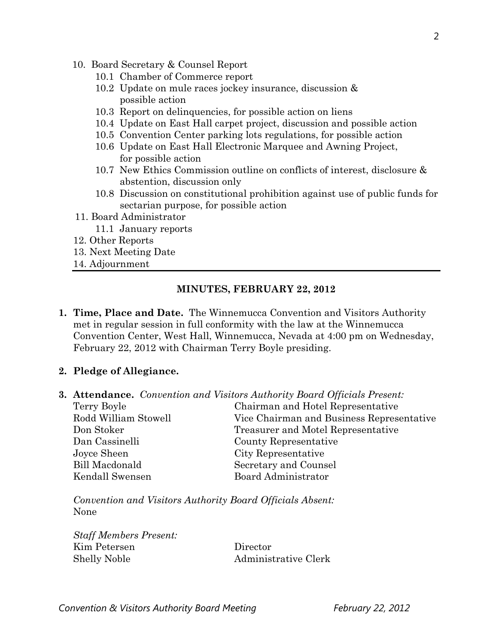- 10. Board Secretary & Counsel Report
	- 10.1 Chamber of Commerce report
	- 10.2 Update on mule races jockey insurance, discussion & possible action
	- 10.3 Report on delinquencies, for possible action on liens
	- 10.4 Update on East Hall carpet project, discussion and possible action
	- 10.5 Convention Center parking lots regulations, for possible action
	- 10.6 Update on East Hall Electronic Marquee and Awning Project, for possible action
	- 10.7 New Ethics Commission outline on conflicts of interest, disclosure & abstention, discussion only
	- 10.8 Discussion on constitutional prohibition against use of public funds for sectarian purpose, for possible action
- 11. Board Administrator
	- 11.1 January reports
- 12. Other Reports
- 13. Next Meeting Date
- 14. Adjournment

#### **MINUTES, FEBRUARY 22, 2012**

- **1. Time, Place and Date.** The Winnemucca Convention and Visitors Authority met in regular session in full conformity with the law at the Winnemucca Convention Center, West Hall, Winnemucca, Nevada at 4:00 pm on Wednesday, February 22, 2012 with Chairman Terry Boyle presiding.
- **2. Pledge of Allegiance.**
- **3. Attendance.** *Convention and Visitors Authority Board Officials Present:*

| Terry Boyle           | Chairman and Hotel Representative         |
|-----------------------|-------------------------------------------|
| Rodd William Stowell  | Vice Chairman and Business Representative |
| Don Stoker            | Treasurer and Motel Representative        |
| Dan Cassinelli        | County Representative                     |
| Joyce Sheen           | City Representative                       |
| <b>Bill Macdonald</b> | Secretary and Counsel                     |
| Kendall Swensen       | Board Administrator                       |

*Convention and Visitors Authority Board Officials Absent:*  None

*Staff Members Present:*  Kim Petersen Director Shelly Noble Administrative Clerk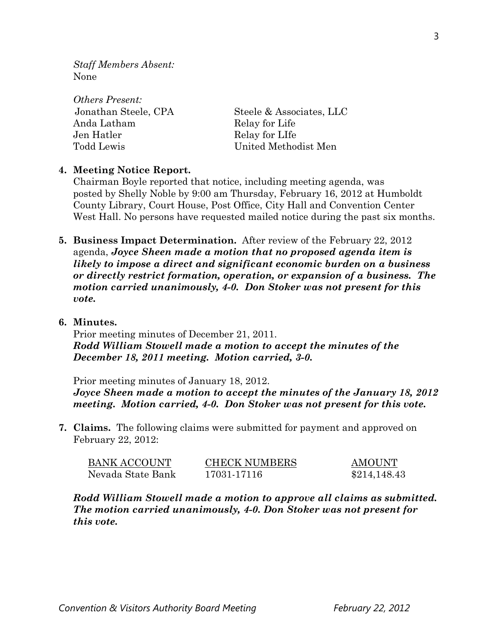*Staff Members Absent:*  None

| <i><b>Others Present:</b></i> |                          |
|-------------------------------|--------------------------|
| Jonathan Steele, CPA          | Steele & Associates, LLC |
| Anda Latham                   | Relay for Life           |
| Jen Hatler                    | Relay for LIfe           |
| Todd Lewis                    | United Methodist Men     |

#### **4. Meeting Notice Report.**

Chairman Boyle reported that notice, including meeting agenda, was posted by Shelly Noble by 9:00 am Thursday, February 16, 2012 at Humboldt County Library, Court House, Post Office, City Hall and Convention Center West Hall. No persons have requested mailed notice during the past six months.

- **5. Business Impact Determination.** After review of the February 22, 2012 agenda, *Joyce Sheen made a motion that no proposed agenda item is likely to impose a direct and significant economic burden on a business or directly restrict formation, operation, or expansion of a business. The motion carried unanimously, 4-0. Don Stoker was not present for this vote.*
- **6. Minutes.**

Prior meeting minutes of December 21, 2011. *Rodd William Stowell made a motion to accept the minutes of the December 18, 2011 meeting. Motion carried, 3-0.* 

Prior meeting minutes of January 18, 2012. *Joyce Sheen made a motion to accept the minutes of the January 18, 2012 meeting. Motion carried, 4-0. Don Stoker was not present for this vote.* 

**7. Claims.** The following claims were submitted for payment and approved on February 22, 2012:

| <b>BANK ACCOUNT</b> | <b>CHECK NUMBERS</b> | AMOUNT       |
|---------------------|----------------------|--------------|
| Nevada State Bank   | 17031-17116          | \$214,148.43 |

*Rodd William Stowell made a motion to approve all claims as submitted. The motion carried unanimously, 4-0. Don Stoker was not present for this vote.*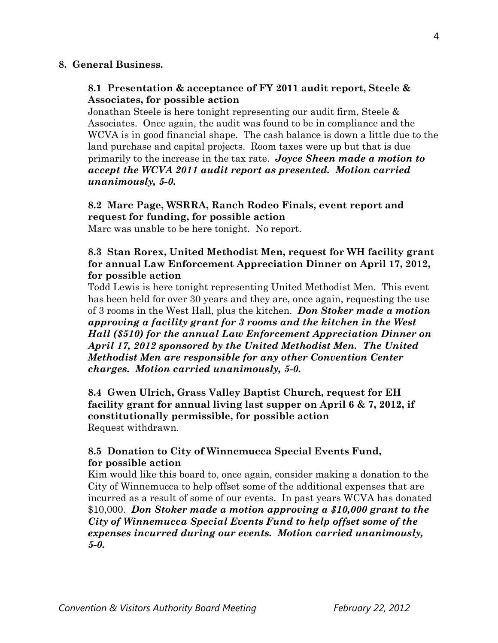#### **8. General Business.**

### **8.1 Presentation & acceptance of FY 2011 audit report, Steele & Associates, for possible action**

Jonathan Steele is here tonight representing our audit firm, Steele & Associates. Once again, the audit was found to be in compliance and the WCVA is in good financial shape. The cash balance is down a little due to the land purchase and capital projects. Room taxes were up but that is due primarily to the increase in the tax rate. *Joyce Sheen made a motion to accept the WCVA 2011 audit report as presented. Motion carried unanimously, 5-0.* 

# **8.2 Marc Page, WSRRA, Ranch Rodeo Finals, event report and request for funding, for possible action**

Marc was unable to be here tonight. No report.

### **8.3 Stan Rorex, United Methodist Men, request for WH facility grant for annual Law Enforcement Appreciation Dinner on April 17, 2012, for possible action**

Todd Lewis is here tonight representing United Methodist Men. This event has been held for over 30 years and they are, once again, requesting the use of 3 rooms in the West Hall, plus the kitchen. *Don Stoker made a motion approving a facility grant for 3 rooms and the kitchen in the West Hall (\$510) for the annual Law Enforcement Appreciation Dinner on April 17, 2012 sponsored by the United Methodist Men. The United Methodist Men are responsible for any other Convention Center charges. Motion carried unanimously, 5-0.* 

 **8.4 Gwen Ulrich, Grass Valley Baptist Church, request for EH facility grant for annual living last supper on April 6 & 7, 2012, if constitutionally permissible, for possible action**  Request withdrawn.

# **8.5 Donation to City of Winnemucca Special Events Fund, for possible action**

Kim would like this board to, once again, consider making a donation to the City of Winnemucca to help offset some of the additional expenses that are incurred as a result of some of our events. In past years WCVA has donated \$10,000. *Don Stoker made a motion approving a \$10,000 grant to the City of Winnemucca Special Events Fund to help offset some of the expenses incurred during our events. Motion carried unanimously, 5-0.*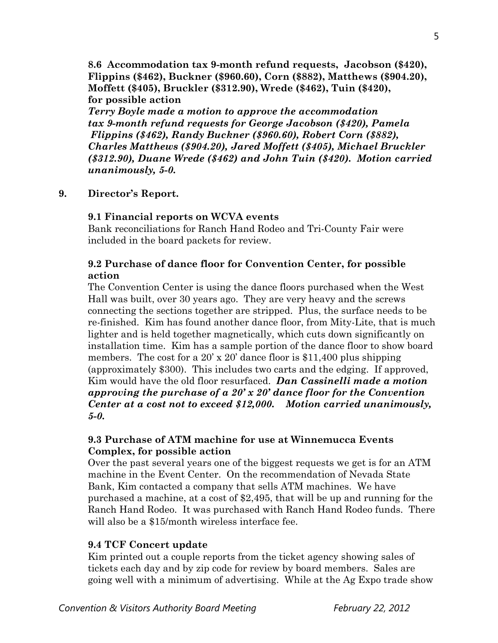**8.6 Accommodation tax 9-month refund requests, Jacobson (\$420), Flippins (\$462), Buckner (\$960.60), Corn (\$882), Matthews (\$904.20), Moffett (\$405), Bruckler (\$312.90), Wrede (\$462), Tuin (\$420), for possible action** 

*Terry Boyle made a motion to approve the accommodation tax 9-month refund requests for George Jacobson (\$420), Pamela Flippins (\$462), Randy Buckner (\$960.60), Robert Corn (\$882), Charles Matthews (\$904.20), Jared Moffett (\$405), Michael Bruckler (\$312.90), Duane Wrede (\$462) and John Tuin (\$420). Motion carried unanimously, 5-0.*

### **9. Director's Report.**

#### **9.1 Financial reports on WCVA events**

Bank reconciliations for Ranch Hand Rodeo and Tri-County Fair were included in the board packets for review.

## **9.2 Purchase of dance floor for Convention Center, for possible action**

The Convention Center is using the dance floors purchased when the West Hall was built, over 30 years ago. They are very heavy and the screws connecting the sections together are stripped. Plus, the surface needs to be re-finished. Kim has found another dance floor, from Mity-Lite, that is much lighter and is held together magnetically, which cuts down significantly on installation time. Kim has a sample portion of the dance floor to show board members. The cost for a 20' x 20' dance floor is \$11,400 plus shipping (approximately \$300). This includes two carts and the edging. If approved, Kim would have the old floor resurfaced. *Dan Cassinelli made a motion approving the purchase of a 20' x 20' dance floor for the Convention Center at a cost not to exceed \$12,000. Motion carried unanimously, 5-0.* 

### **9.3 Purchase of ATM machine for use at Winnemucca Events Complex, for possible action**

Over the past several years one of the biggest requests we get is for an ATM machine in the Event Center. On the recommendation of Nevada State Bank, Kim contacted a company that sells ATM machines. We have purchased a machine, at a cost of \$2,495, that will be up and running for the Ranch Hand Rodeo. It was purchased with Ranch Hand Rodeo funds. There will also be a \$15/month wireless interface fee.

### **9.4 TCF Concert update**

Kim printed out a couple reports from the ticket agency showing sales of tickets each day and by zip code for review by board members. Sales are going well with a minimum of advertising. While at the Ag Expo trade show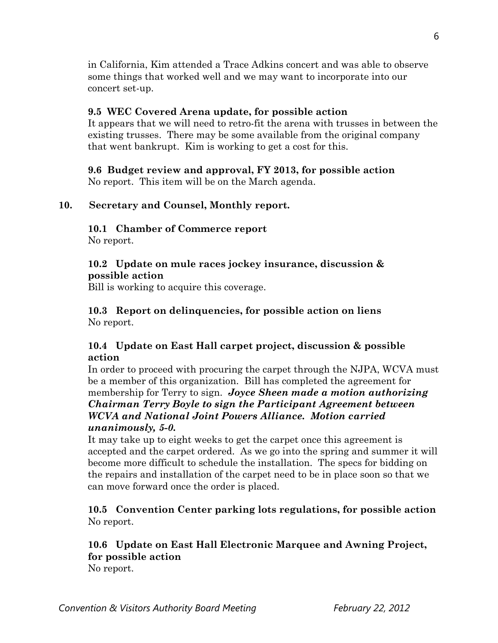in California, Kim attended a Trace Adkins concert and was able to observe some things that worked well and we may want to incorporate into our concert set-up.

### **9.5 WEC Covered Arena update, for possible action**

It appears that we will need to retro-fit the arena with trusses in between the existing trusses. There may be some available from the original company that went bankrupt. Kim is working to get a cost for this.

# **9.6 Budget review and approval, FY 2013, for possible action**

No report. This item will be on the March agenda.

# **10. Secretary and Counsel, Monthly report.**

# **10.1 Chamber of Commerce report**

No report.

## **10.2 Update on mule races jockey insurance, discussion & possible action**

Bill is working to acquire this coverage.

## **10.3 Report on delinquencies, for possible action on liens**  No report.

# **10.4 Update on East Hall carpet project, discussion & possible action**

In order to proceed with procuring the carpet through the NJPA, WCVA must be a member of this organization. Bill has completed the agreement for membership for Terry to sign. *Joyce Sheen made a motion authorizing Chairman Terry Boyle to sign the Participant Agreement between WCVA and National Joint Powers Alliance. Motion carried unanimously, 5-0.* 

It may take up to eight weeks to get the carpet once this agreement is accepted and the carpet ordered. As we go into the spring and summer it will become more difficult to schedule the installation. The specs for bidding on the repairs and installation of the carpet need to be in place soon so that we can move forward once the order is placed.

# **10.5 Convention Center parking lots regulations, for possible action**  No report.

# **10.6 Update on East Hall Electronic Marquee and Awning Project, for possible action**

No report.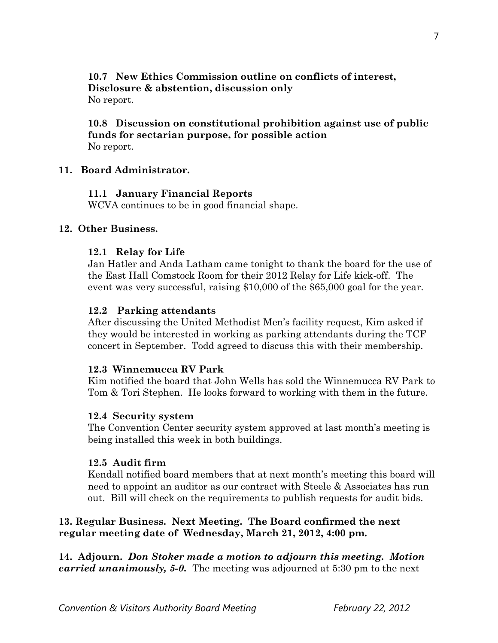**10.7 New Ethics Commission outline on conflicts of interest, Disclosure & abstention, discussion only**  No report.

### **10.8 Discussion on constitutional prohibition against use of public funds for sectarian purpose, for possible action**  No report.

#### **11. Board Administrator.**

#### **11.1 January Financial Reports**

WCVA continues to be in good financial shape.

#### **12. Other Business.**

#### **12.1 Relay for Life**

Jan Hatler and Anda Latham came tonight to thank the board for the use of the East Hall Comstock Room for their 2012 Relay for Life kick-off. The event was very successful, raising \$10,000 of the \$65,000 goal for the year.

#### **12.2 Parking attendants**

After discussing the United Methodist Men's facility request, Kim asked if they would be interested in working as parking attendants during the TCF concert in September. Todd agreed to discuss this with their membership.

#### **12.3 Winnemucca RV Park**

Kim notified the board that John Wells has sold the Winnemucca RV Park to Tom & Tori Stephen. He looks forward to working with them in the future.

#### **12.4 Security system**

The Convention Center security system approved at last month's meeting is being installed this week in both buildings.

### **12.5 Audit firm**

Kendall notified board members that at next month's meeting this board will need to appoint an auditor as our contract with Steele & Associates has run out. Bill will check on the requirements to publish requests for audit bids.

### **13. Regular Business. Next Meeting. The Board confirmed the next regular meeting date of Wednesday, March 21, 2012, 4:00 pm.**

**14. Adjourn.** *Don Stoker made a motion to adjourn this meeting. Motion carried unanimously, 5-0.* The meeting was adjourned at 5:30 pm to the next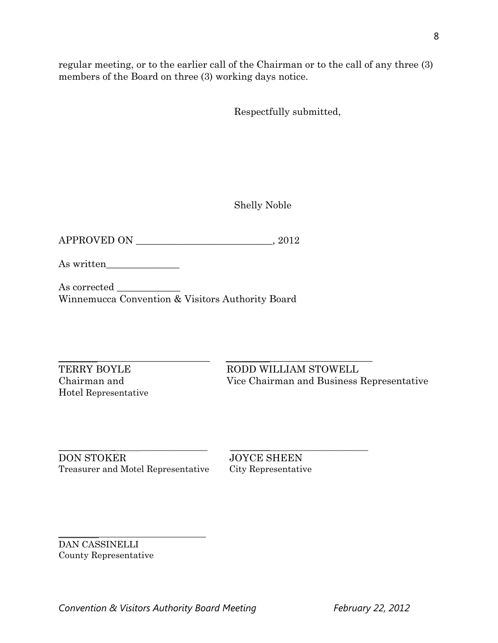regular meeting, or to the earlier call of the Chairman or to the call of any three (3) members of the Board on three (3) working days notice.

Respectfully submitted,

Shelly Noble

APPROVED ON \_\_\_\_\_\_\_\_\_\_\_\_\_\_\_\_\_\_\_\_\_\_\_\_\_\_\_\_, 2012

As written\_\_\_\_\_\_\_\_\_\_\_\_\_\_\_

As corrected Winnemucca Convention & Visitors Authority Board

Hotel Representative

 $\frac{1}{2}$  ,  $\frac{1}{2}$  ,  $\frac{1}{2}$  ,  $\frac{1}{2}$  ,  $\frac{1}{2}$  ,  $\frac{1}{2}$  ,  $\frac{1}{2}$  ,  $\frac{1}{2}$  ,  $\frac{1}{2}$  ,  $\frac{1}{2}$  ,  $\frac{1}{2}$  ,  $\frac{1}{2}$  ,  $\frac{1}{2}$  ,  $\frac{1}{2}$  ,  $\frac{1}{2}$  ,  $\frac{1}{2}$  ,  $\frac{1}{2}$  ,  $\frac{1}{2}$  ,  $\frac{1$ TERRY BOYLE RODD WILLIAM STOWELL Chairman and Vice Chairman and Business Representative

\_\_\_\_\_\_\_\_\_ \_ \_\_\_\_\_\_\_\_\_\_\_\_\_\_\_ \_\_\_\_\_\_\_\_\_ \_\_\_\_\_\_\_\_\_\_\_\_\_\_\_\_\_\_ DON STOKER JOYCE SHEEN Treasurer and Motel Representative City Representative

\_\_\_\_\_\_\_\_\_\_\_\_\_\_\_\_\_\_\_\_\_\_\_\_\_\_\_\_\_\_\_\_\_

DAN CASSINELLI County Representative